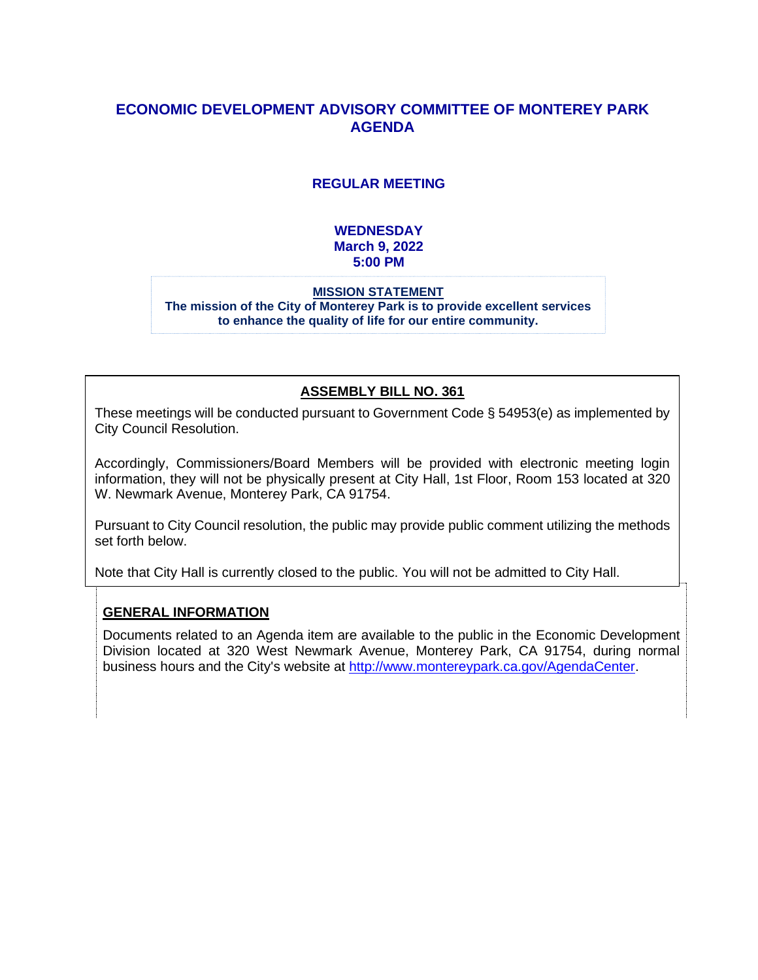# **ECONOMIC DEVELOPMENT ADVISORY COMMITTEE OF MONTEREY PARK AGENDA**

### **REGULAR MEETING**

### **WEDNESDAY March 9, 2022 5:00 PM**

#### **MISSION STATEMENT The mission of the City of Monterey Park is to provide excellent services to enhance the quality of life for our entire community.**

### **ASSEMBLY BILL NO. 361**

These meetings will be conducted pursuant to Government Code § 54953(e) as implemented by City Council Resolution.

Accordingly, Commissioners/Board Members will be provided with electronic meeting login information, they will not be physically present at City Hall, 1st Floor, Room 153 located at 320 W. Newmark Avenue, Monterey Park, CA 91754.

Pursuant to City Council resolution, the public may provide public comment utilizing the methods set forth below.

Note that City Hall is currently closed to the public. You will not be admitted to City Hall.

### **GENERAL INFORMATION**

Documents related to an Agenda item are available to the public in the Economic Development Division located at 320 West Newmark Avenue, Monterey Park, CA 91754, during normal business hours and the City's website at [http://www.montereypark.ca.gov/AgendaCenter.](http://www.montereypark.ca.gov/AgendaCenter)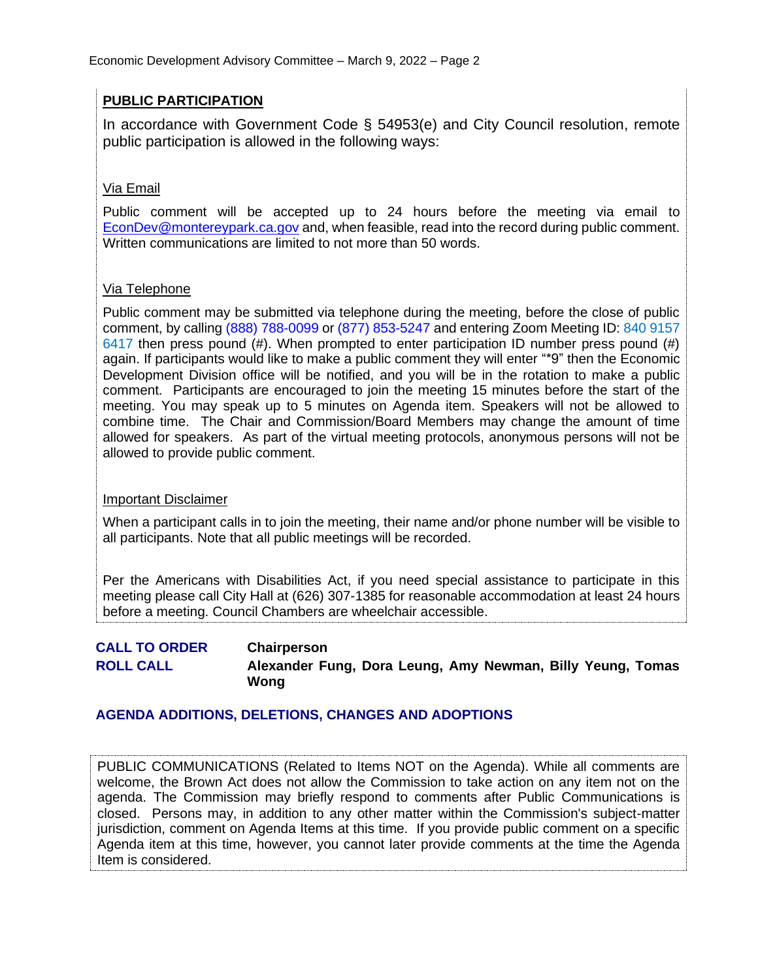# **PUBLIC PARTICIPATION**

In accordance with Government Code § 54953(e) and City Council resolution, remote public participation is allowed in the following ways:

# Via Email

Public comment will be accepted up to 24 hours before the meeting via email to [EconDev@montereypark.ca.gov](mailto:EconDev@montereypark.ca.gov) and, when feasible, read into the record during public comment. Written communications are limited to not more than 50 words.

# Via Telephone

Public comment may be submitted via telephone during the meeting, before the close of public comment, by calling (888) 788-0099 or (877) 853-5247 and entering Zoom Meeting ID: 840 9157 6417 then press pound (#). When prompted to enter participation ID number press pound (#) again. If participants would like to make a public comment they will enter "\*9" then the Economic Development Division office will be notified, and you will be in the rotation to make a public comment. Participants are encouraged to join the meeting 15 minutes before the start of the meeting. You may speak up to 5 minutes on Agenda item. Speakers will not be allowed to combine time. The Chair and Commission/Board Members may change the amount of time allowed for speakers. As part of the virtual meeting protocols, anonymous persons will not be allowed to provide public comment.

# Important Disclaimer

When a participant calls in to join the meeting, their name and/or phone number will be visible to all participants. Note that all public meetings will be recorded.

Per the Americans with Disabilities Act, if you need special assistance to participate in this meeting please call City Hall at (626) 307-1385 for reasonable accommodation at least 24 hours before a meeting. Council Chambers are wheelchair accessible.

**CALL TO ORDER Chairperson ROLL CALL Alexander Fung, Dora Leung, Amy Newman, Billy Yeung, Tomas Wong**

# **AGENDA ADDITIONS, DELETIONS, CHANGES AND ADOPTIONS**

PUBLIC COMMUNICATIONS (Related to Items NOT on the Agenda). While all comments are welcome, the Brown Act does not allow the Commission to take action on any item not on the agenda. The Commission may briefly respond to comments after Public Communications is closed. Persons may, in addition to any other matter within the Commission's subject-matter jurisdiction, comment on Agenda Items at this time. If you provide public comment on a specific Agenda item at this time, however, you cannot later provide comments at the time the Agenda Item is considered.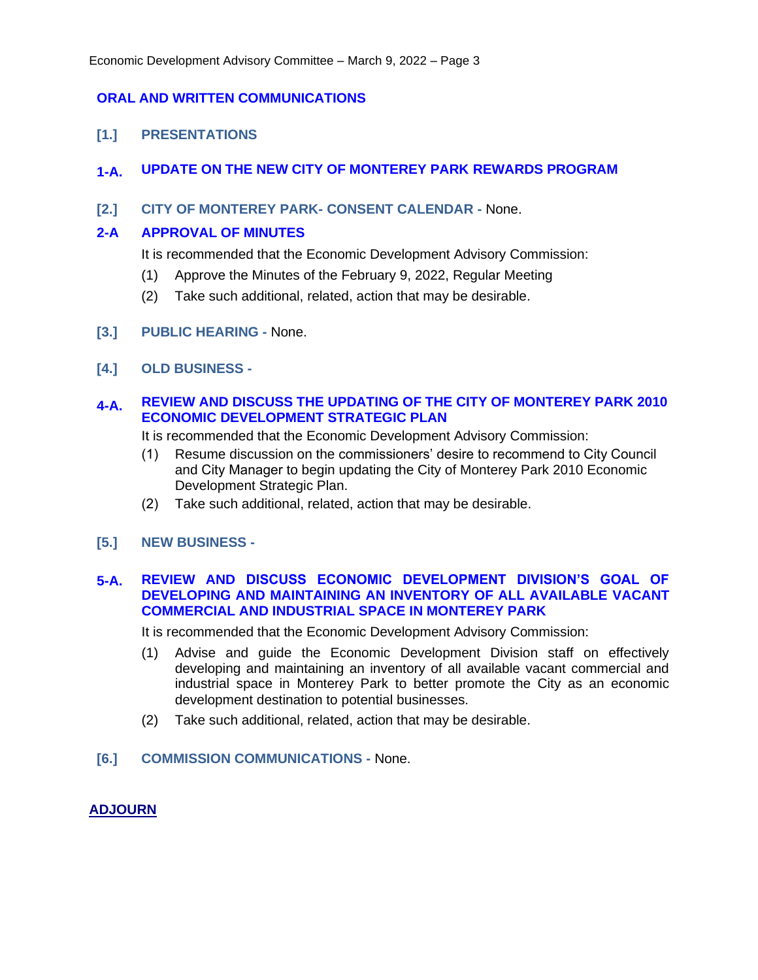### **ORAL AND WRITTEN COMMUNICATIONS**

**[1.] PRESENTATIONS**

### **1-A. UPDATE ON THE NEW CITY OF MONTEREY PARK REWARDS PROGRAM**

### **[2.] CITY OF MONTEREY PARK- CONSENT CALENDAR -** None.

### **2-A APPROVAL OF MINUTES**

It is recommended that the Economic Development Advisory Commission:

- (1) Approve the Minutes of the February 9, 2022, Regular Meeting
- (2) Take such additional, related, action that may be desirable.
- **[3.] PUBLIC HEARING -** None.
- **[4.] OLD BUSINESS -**

### **4-A. REVIEW AND DISCUSS THE UPDATING OF THE CITY OF MONTEREY PARK 2010 ECONOMIC DEVELOPMENT STRATEGIC PLAN**

It is recommended that the Economic Development Advisory Commission:

- (1) Resume discussion on the commissioners' desire to recommend to City Council and City Manager to begin updating the City of Monterey Park 2010 Economic Development Strategic Plan.
- (2) Take such additional, related, action that may be desirable.
- **[5.] NEW BUSINESS -**

### **5-A. REVIEW AND DISCUSS ECONOMIC DEVELOPMENT DIVISION'S GOAL OF DEVELOPING AND MAINTAINING AN INVENTORY OF ALL AVAILABLE VACANT COMMERCIAL AND INDUSTRIAL SPACE IN MONTEREY PARK**

It is recommended that the Economic Development Advisory Commission:

- (1) Advise and guide the Economic Development Division staff on effectively developing and maintaining an inventory of all available vacant commercial and industrial space in Monterey Park to better promote the City as an economic development destination to potential businesses.
- (2) Take such additional, related, action that may be desirable.
- **[6.] COMMISSION COMMUNICATIONS -** None.

### **ADJOURN**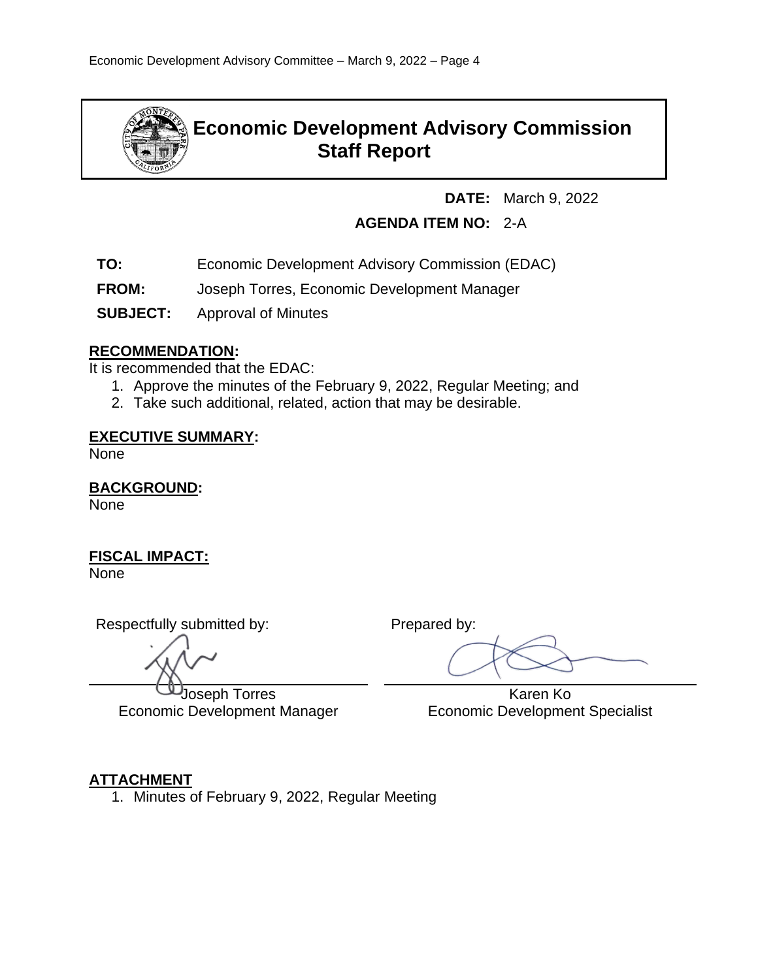

# **Economic Development Advisory Commission Staff Report**

**DATE:** March 9, 2022

# **AGENDA ITEM NO:** 2-A

- **TO:** Economic Development Advisory Commission (EDAC)
- **FROM:** Joseph Torres, Economic Development Manager
- **SUBJECT:** Approval of Minutes

# **RECOMMENDATION:**

It is recommended that the EDAC:

- 1. Approve the minutes of the February 9, 2022, Regular Meeting; and
- 2. Take such additional, related, action that may be desirable.

# **EXECUTIVE SUMMARY:**

None

# **BACKGROUND:**

None

# **FISCAL IMPACT:**

None

Respectfully submitted by: Prepared by:

Joseph Torres Economic Development Manager

 Karen Ko Economic Development Specialist

# **ATTACHMENT**

1. Minutes of February 9, 2022, Regular Meeting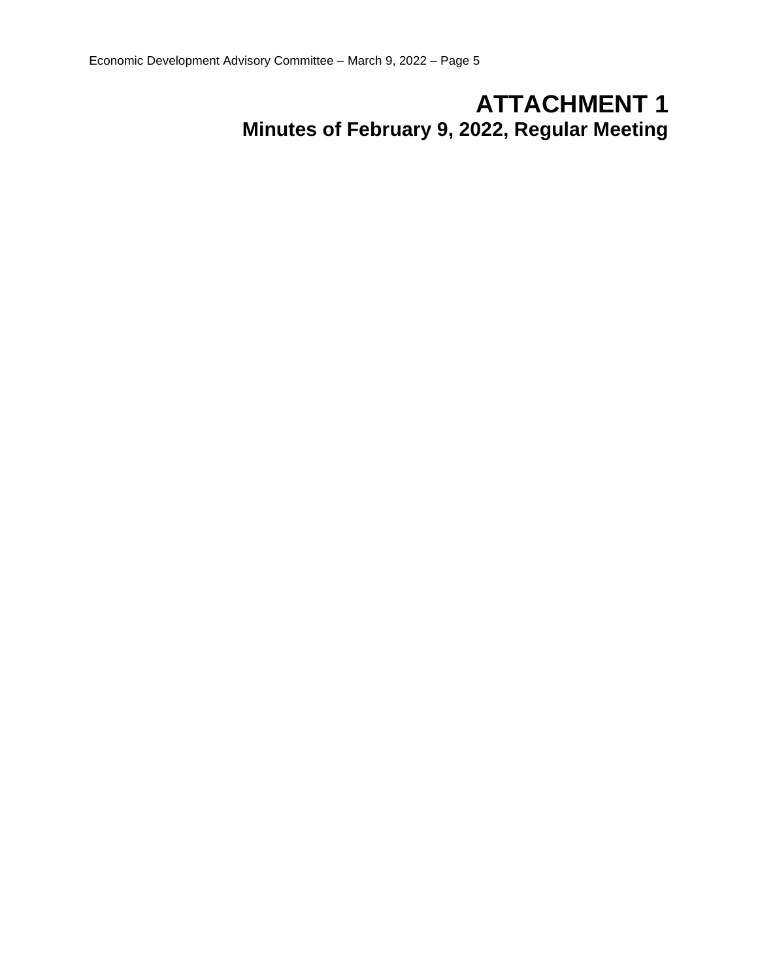# **ATTACHMENT 1 Minutes of February 9, 2022, Regular Meeting**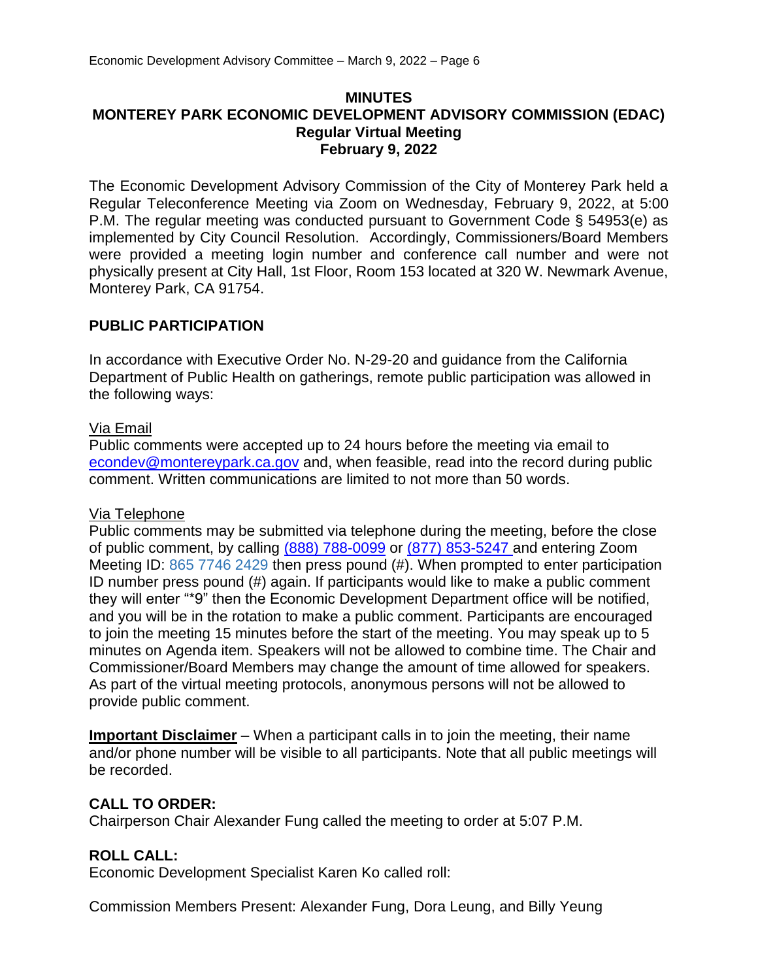### **MINUTES MONTEREY PARK ECONOMIC DEVELOPMENT ADVISORY COMMISSION (EDAC) Regular Virtual Meeting February 9, 2022**

The Economic Development Advisory Commission of the City of Monterey Park held a Regular Teleconference Meeting via Zoom on Wednesday, February 9, 2022, at 5:00 P.M. The regular meeting was conducted pursuant to Government Code § 54953(e) as implemented by City Council Resolution. Accordingly, Commissioners/Board Members were provided a meeting login number and conference call number and were not physically present at City Hall, 1st Floor, Room 153 located at 320 W. Newmark Avenue, Monterey Park, CA 91754.

# **PUBLIC PARTICIPATION**

In accordance with Executive Order No. N-29-20 and guidance from the California Department of Public Health on gatherings, remote public participation was allowed in the following ways:

# Via Email

Public comments were accepted up to 24 hours before the meeting via email to [econdev@montereypark.ca.gov](mailto:econdev@montereypark.ca.gov) and, when feasible, read into the record during public comment. Written communications are limited to not more than 50 words.

# Via Telephone

Public comments may be submitted via telephone during the meeting, before the close of public comment, by calling (888) 788-0099 or (877) 853-5247 and entering Zoom Meeting ID: 865 7746 2429 then press pound (#). When prompted to enter participation ID number press pound (#) again. If participants would like to make a public comment they will enter "\*9" then the Economic Development Department office will be notified, and you will be in the rotation to make a public comment. Participants are encouraged to join the meeting 15 minutes before the start of the meeting. You may speak up to 5 minutes on Agenda item. Speakers will not be allowed to combine time. The Chair and Commissioner/Board Members may change the amount of time allowed for speakers. As part of the virtual meeting protocols, anonymous persons will not be allowed to provide public comment.

**Important Disclaimer** – When a participant calls in to join the meeting, their name and/or phone number will be visible to all participants. Note that all public meetings will be recorded.

# **CALL TO ORDER:**

Chairperson Chair Alexander Fung called the meeting to order at 5:07 P.M.

# **ROLL CALL:**

Economic Development Specialist Karen Ko called roll:

Commission Members Present: Alexander Fung, Dora Leung, and Billy Yeung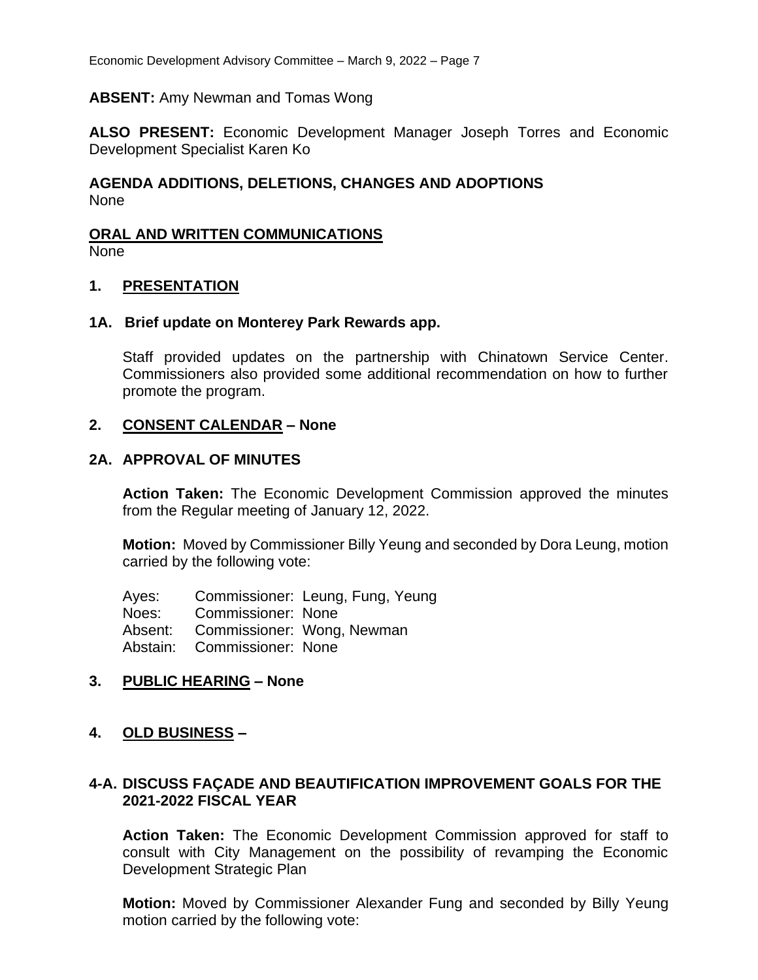### **ABSENT:** Amy Newman and Tomas Wong

**ALSO PRESENT:** Economic Development Manager Joseph Torres and Economic Development Specialist Karen Ko

# **AGENDA ADDITIONS, DELETIONS, CHANGES AND ADOPTIONS** None

# **ORAL AND WRITTEN COMMUNICATIONS**

None

### **1. PRESENTATION**

### **1A. Brief update on Monterey Park Rewards app.**

Staff provided updates on the partnership with Chinatown Service Center. Commissioners also provided some additional recommendation on how to further promote the program.

### **2. CONSENT CALENDAR – None**

### **2A. APPROVAL OF MINUTES**

**Action Taken:** The Economic Development Commission approved the minutes from the Regular meeting of January 12, 2022.

**Motion:** Moved by Commissioner Billy Yeung and seconded by Dora Leung, motion carried by the following vote:

Ayes: Commissioner: Leung, Fung, Yeung Noes: Commissioner: None Absent: Commissioner: Wong, Newman Abstain: Commissioner: None

# **3. PUBLIC HEARING – None**

# **4. OLD BUSINESS –**

# **4-A. DISCUSS FAÇADE AND BEAUTIFICATION IMPROVEMENT GOALS FOR THE 2021-2022 FISCAL YEAR**

**Action Taken:** The Economic Development Commission approved for staff to consult with City Management on the possibility of revamping the Economic Development Strategic Plan

**Motion:** Moved by Commissioner Alexander Fung and seconded by Billy Yeung motion carried by the following vote: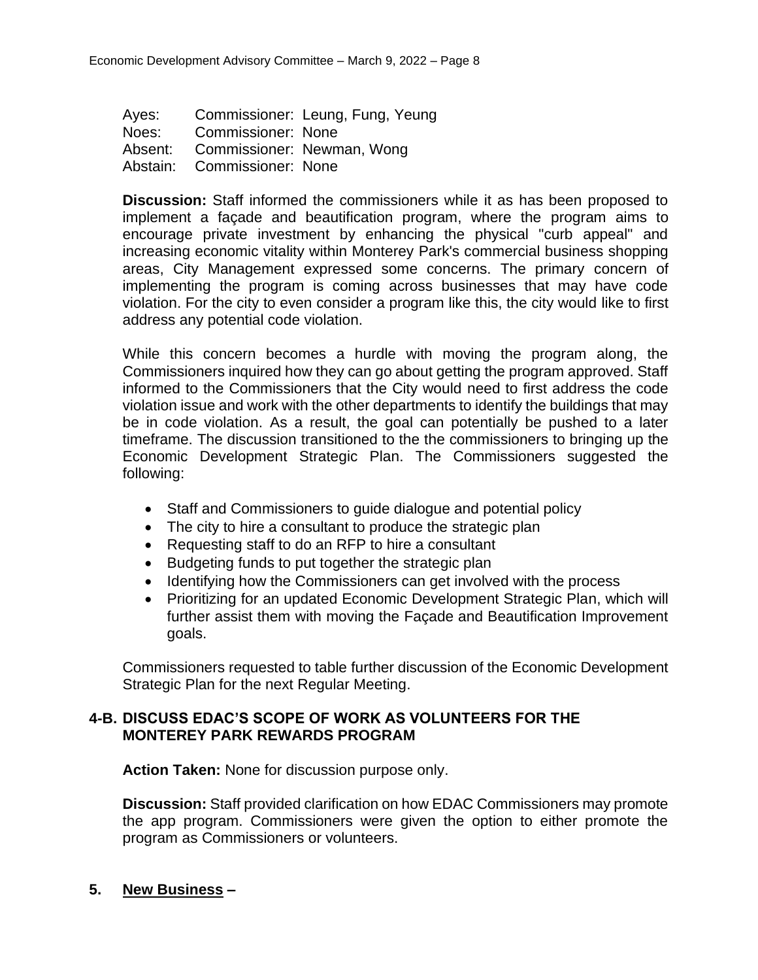Ayes: Commissioner: Leung, Fung, Yeung Noes: Commissioner: None Absent: Commissioner: Newman, Wong Abstain: Commissioner: None

**Discussion:** Staff informed the commissioners while it as has been proposed to implement a façade and beautification program, where the program aims to encourage private investment by enhancing the physical "curb appeal" and increasing economic vitality within Monterey Park's commercial business shopping areas, City Management expressed some concerns. The primary concern of implementing the program is coming across businesses that may have code violation. For the city to even consider a program like this, the city would like to first address any potential code violation.

While this concern becomes a hurdle with moving the program along, the Commissioners inquired how they can go about getting the program approved. Staff informed to the Commissioners that the City would need to first address the code violation issue and work with the other departments to identify the buildings that may be in code violation. As a result, the goal can potentially be pushed to a later timeframe. The discussion transitioned to the the commissioners to bringing up the Economic Development Strategic Plan. The Commissioners suggested the following:

- Staff and Commissioners to guide dialogue and potential policy
- The city to hire a consultant to produce the strategic plan
- Requesting staff to do an RFP to hire a consultant
- Budgeting funds to put together the strategic plan
- Identifying how the Commissioners can get involved with the process
- Prioritizing for an updated Economic Development Strategic Plan, which will further assist them with moving the Façade and Beautification Improvement goals.

Commissioners requested to table further discussion of the Economic Development Strategic Plan for the next Regular Meeting.

# **4-B. DISCUSS EDAC'S SCOPE OF WORK AS VOLUNTEERS FOR THE MONTEREY PARK REWARDS PROGRAM**

**Action Taken:** None for discussion purpose only.

**Discussion:** Staff provided clarification on how EDAC Commissioners may promote the app program. Commissioners were given the option to either promote the program as Commissioners or volunteers.

# **5. New Business –**